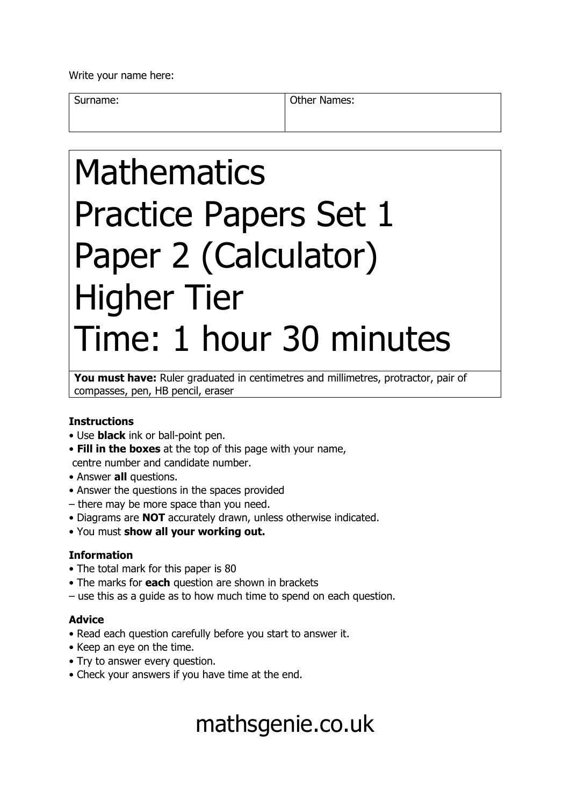Write your name here:

Surname: **Other Names: Other Names:** 

# Mathematics Practice Papers Set 1 Paper 2 (Calculator) Higher Tier Time: 1 hour 30 minutes

You must have: Ruler graduated in centimetres and millimetres, protractor, pair of compasses, pen, HB pencil, eraser

### **Instructions**

- Use **black** ink or ball-point pen.
- **Fill in the boxes** at the top of this page with your name, centre number and candidate number.
- Answer **all** questions.
- Answer the questions in the spaces provided
- there may be more space than you need.
- Diagrams are **NOT** accurately drawn, unless otherwise indicated.
- You must **show all your working out.**

### **Information**

- The total mark for this paper is 80
- The marks for **each** question are shown in brackets
- use this as a guide as to how much time to spend on each question.

### **Advice**

- Read each question carefully before you start to answer it.
- Keep an eye on the time.
- Try to answer every question.
- Check your answers if you have time at the end.

## mathsgenie.co.uk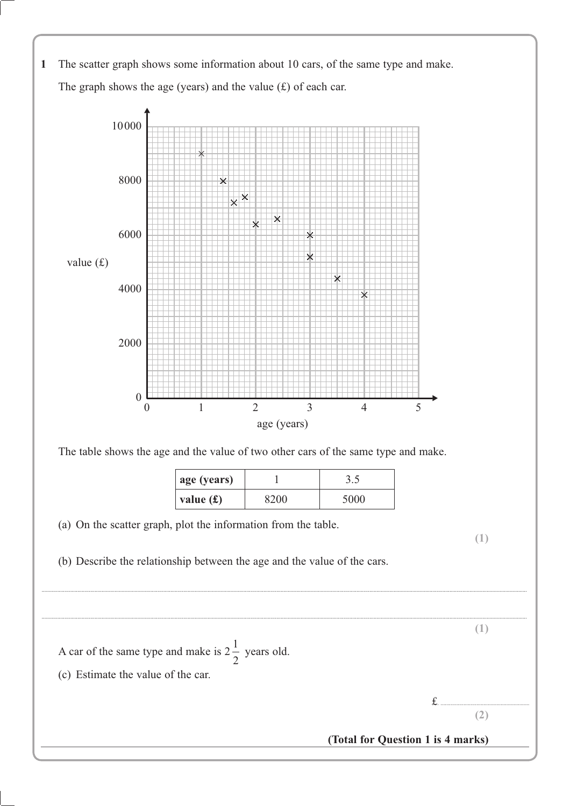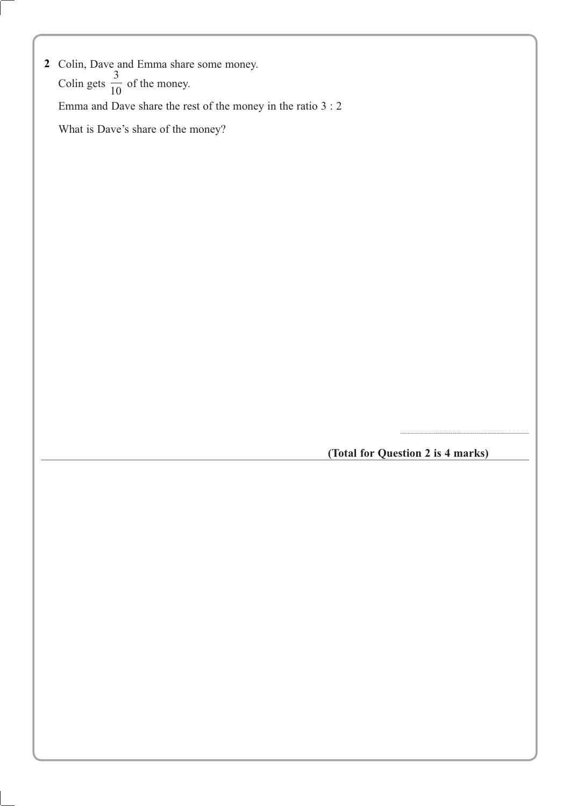| 2 Colin, Dave and Emma share some money.                     |  |  |
|--------------------------------------------------------------|--|--|
| Colin gets $\frac{1}{10}$ of the money.                      |  |  |
| Emma and Dave share the rest of the money in the ratio $3:2$ |  |  |
| What is Dave's share of the money?                           |  |  |
|                                                              |  |  |

**(Total for Question 2 is 4 marks)**

..........................................................................................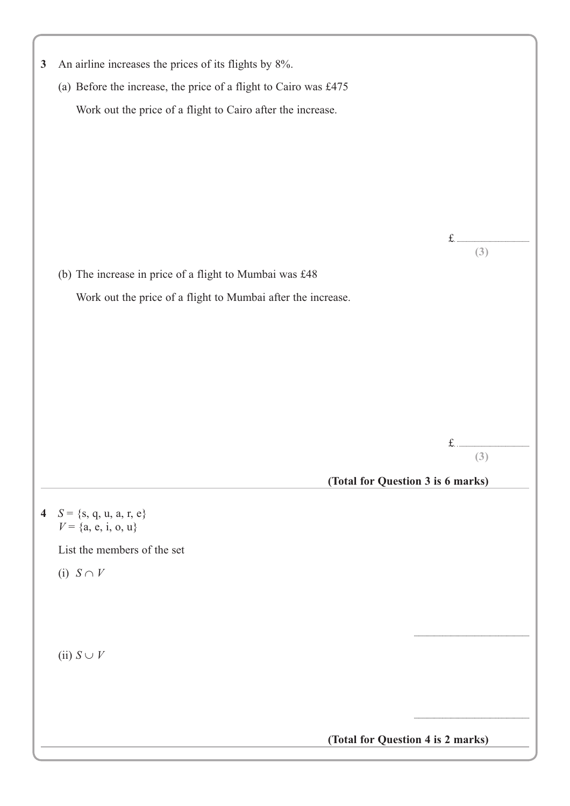| 3 | An airline increases the prices of its flights by 8%.            |          |  |  |
|---|------------------------------------------------------------------|----------|--|--|
|   | (a) Before the increase, the price of a flight to Cairo was £475 |          |  |  |
|   | Work out the price of a flight to Cairo after the increase.      |          |  |  |
|   |                                                                  |          |  |  |
|   |                                                                  |          |  |  |
|   |                                                                  |          |  |  |
|   |                                                                  |          |  |  |
|   |                                                                  |          |  |  |
|   |                                                                  | f<br>(3) |  |  |
|   | (b) The increase in price of a flight to Mumbai was £48          |          |  |  |
|   |                                                                  |          |  |  |
|   | Work out the price of a flight to Mumbai after the increase.     |          |  |  |
|   |                                                                  |          |  |  |
|   |                                                                  |          |  |  |
|   |                                                                  |          |  |  |
|   |                                                                  |          |  |  |
|   |                                                                  |          |  |  |
|   |                                                                  |          |  |  |
|   |                                                                  | (3)      |  |  |
|   | (Total for Question 3 is 6 marks)                                |          |  |  |
|   | 4 $S = \{s, q, u, a, r, e\}$                                     |          |  |  |
|   | $V = \{a, e, i, o, u\}$                                          |          |  |  |
|   | List the members of the set                                      |          |  |  |
|   | (i) $S \cap V$                                                   |          |  |  |
|   |                                                                  |          |  |  |
|   |                                                                  |          |  |  |
|   |                                                                  |          |  |  |
|   | (ii) $S \cup V$                                                  |          |  |  |
|   |                                                                  |          |  |  |
|   |                                                                  |          |  |  |
|   |                                                                  |          |  |  |
|   | (Total for Question 4 is 2 marks)                                |          |  |  |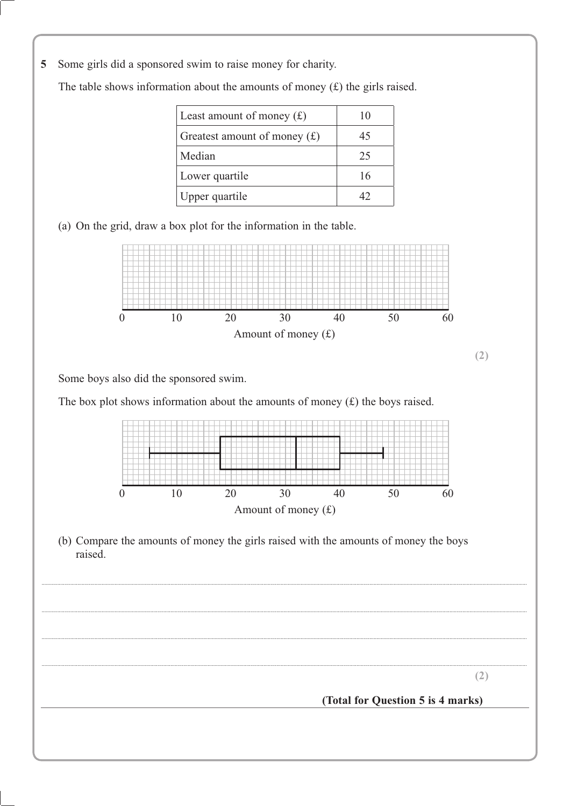5 Some girls did a sponsored swim to raise money for charity.

Least amount of money  $(f)$ 10 Greatest amount of money  $(f)$ 45 Median 25 Lower quartile 16 Upper quartile 42

The table shows information about the amounts of money  $(f)$  the girls raised.

(a) On the grid, draw a box plot for the information in the table.



Some boys also did the sponsored swim.

The box plot shows information about the amounts of money  $(f)$  the boys raised.



(b) Compare the amounts of money the girls raised with the amounts of money the boys raised.

 $(2)$ 

#### (Total for Question 5 is 4 marks)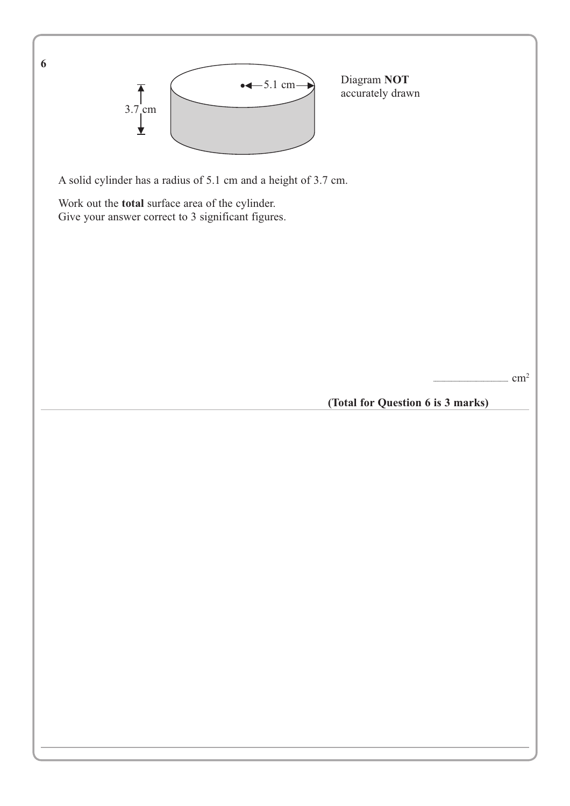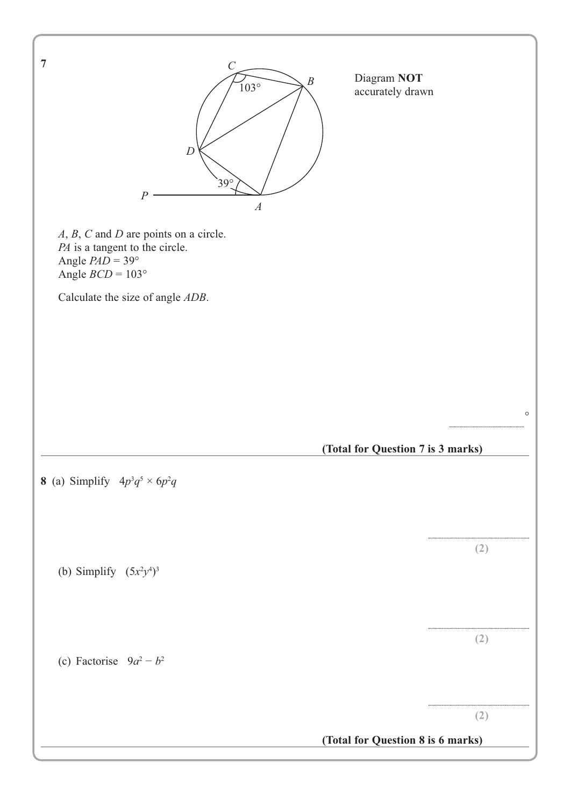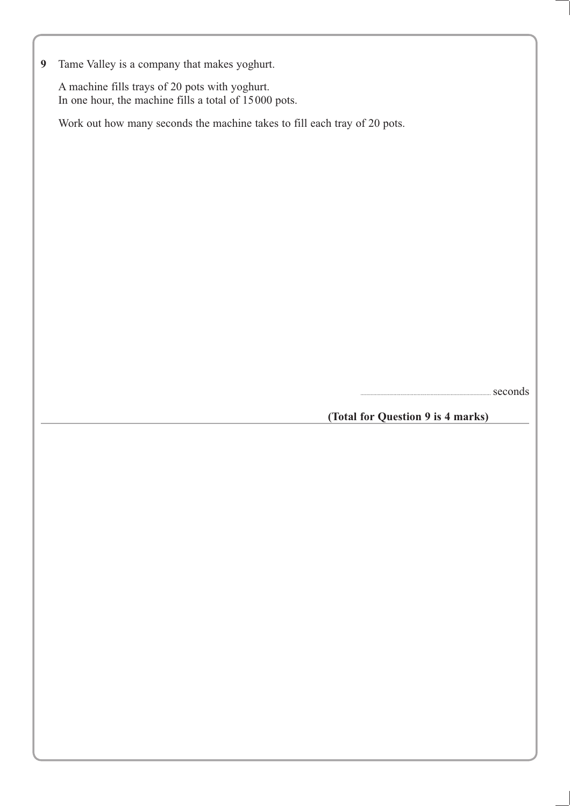**9** Tame Valley is a company that makes yoghurt.

A machine fills trays of 20 pots with yoghurt. In one hour, the machine fills a total of 15000 pots.

Work out how many seconds the machine takes to fill each tray of 20 pots.

...........................................................................................seconds

**(Total for Question 9 is 4 marks)**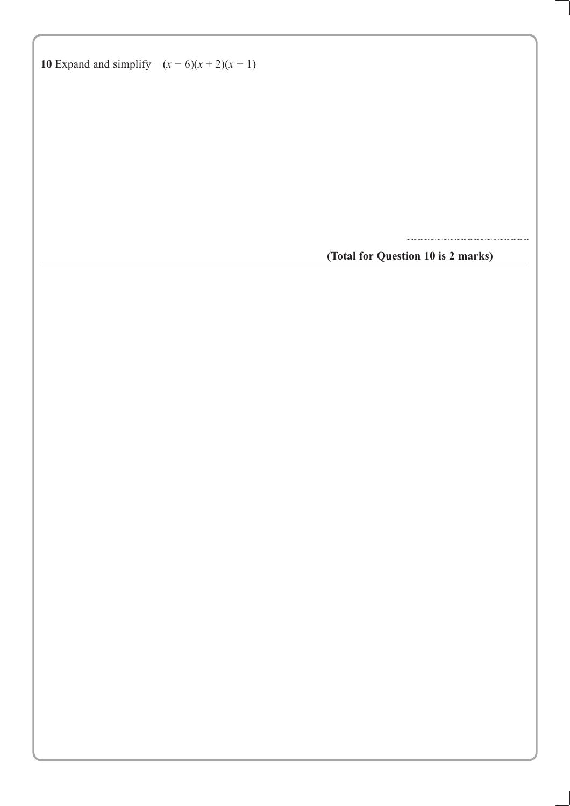**10** Expand and simplify  $(x - 6)(x + 2)(x + 1)$ 

**(Total for Question 10 is 2 marks)**

......................................................................................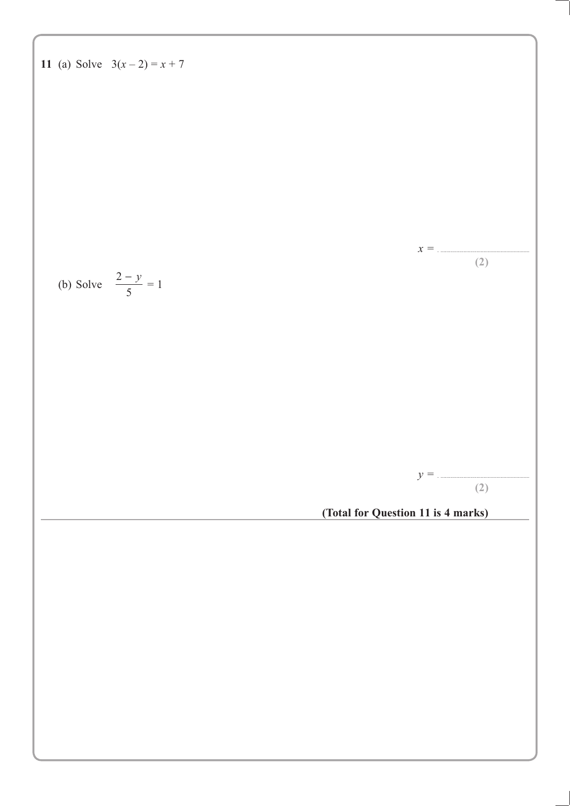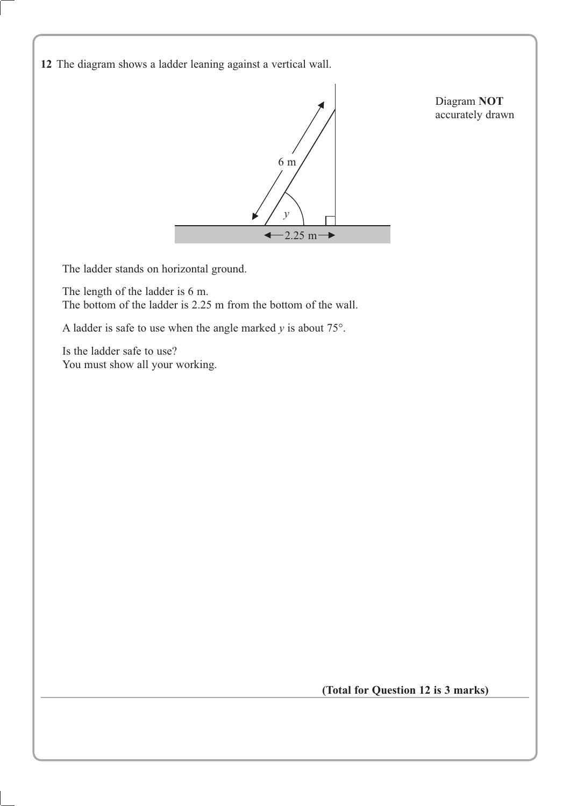**12** The diagram shows a ladder leaning against a vertical wall.



The ladder stands on horizontal ground.

The length of the ladder is 6 m. The bottom of the ladder is 2.25 m from the bottom of the wall.

A ladder is safe to use when the angle marked  $y$  is about  $75^\circ$ .

Is the ladder safe to use? You must show all your working.

**(Total for Question 12 is 3 marks)**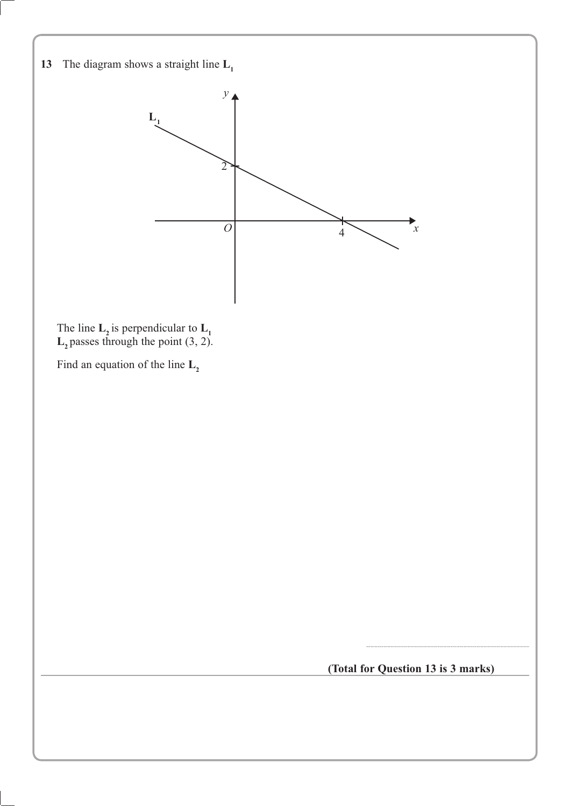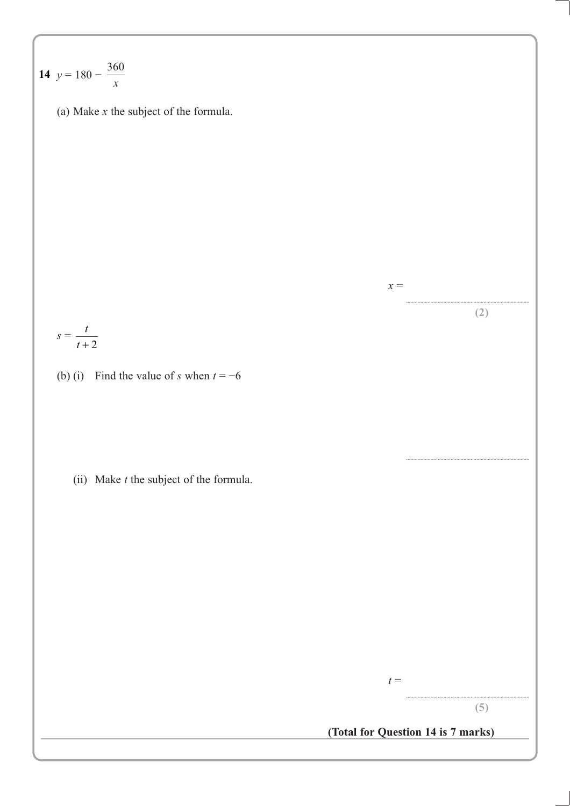14 
$$
y = 180 - \frac{360}{x}
$$
  
\n(a) Make *x* the subject of the formula.  
\n
$$
s = \frac{t}{t+2}
$$
\n(b) (i) Find the value of *s* when  $t = -6$   
\n(ii) Make *t* the subject of the formula.  
\n(iii) Make *t* the subject of the formula.  
\n
$$
t = \frac{t}{\sqrt{16}} = \frac{1}{\sqrt{16}} = \frac{1}{\sqrt{16}} = \frac{1}{\sqrt{16}} = \frac{1}{\sqrt{16}} = \frac{1}{\sqrt{16}} = \frac{1}{\sqrt{16}} = \frac{1}{\sqrt{16}} = \frac{1}{\sqrt{16}} = \frac{1}{\sqrt{16}} = \frac{1}{\sqrt{16}} = \frac{1}{\sqrt{16}} = \frac{1}{\sqrt{16}} = \frac{1}{\sqrt{16}} = \frac{1}{\sqrt{16}} = \frac{1}{\sqrt{16}} = \frac{1}{\sqrt{16}} = \frac{1}{\sqrt{16}} = \frac{1}{\sqrt{16}} = \frac{1}{\sqrt{16}} = \frac{1}{\sqrt{16}} = \frac{1}{\sqrt{16}} = \frac{1}{\sqrt{16}} = \frac{1}{\sqrt{16}} = \frac{1}{\sqrt{16}} = \frac{1}{\sqrt{16}} = \frac{1}{\sqrt{16}} = \frac{1}{\sqrt{16}} = \frac{1}{\sqrt{16}} = \frac{1}{\sqrt{16}} = \frac{1}{\sqrt{16}} = \frac{1}{\sqrt{16}} = \frac{1}{\sqrt{16}} = \frac{1}{\sqrt{16}} = \frac{1}{\sqrt{16}} = \frac{1}{\sqrt{16}} = \frac{1}{\sqrt{16}} = \frac{1}{\sqrt{16}} = \frac{1}{\sqrt{16}} = \frac{1}{\sqrt{16}} = \frac{1}{\sqrt{16}} = \frac{1}{\sqrt{16}} = \frac{1}{\sqrt{16}} = \frac{1}{\sqrt{16}} = \frac{1}{\sqrt{16}} = \frac{1}{\sqrt{16}} = \frac{1}{\sqrt{16}} = \frac{1}{\sqrt{16}} = \frac{1}{\sqrt{16}} = \frac{1}{\sqrt{16}} = \frac{1}{\sqrt{16}} = \frac{1}{\sqrt{16}} = \frac{1}{
$$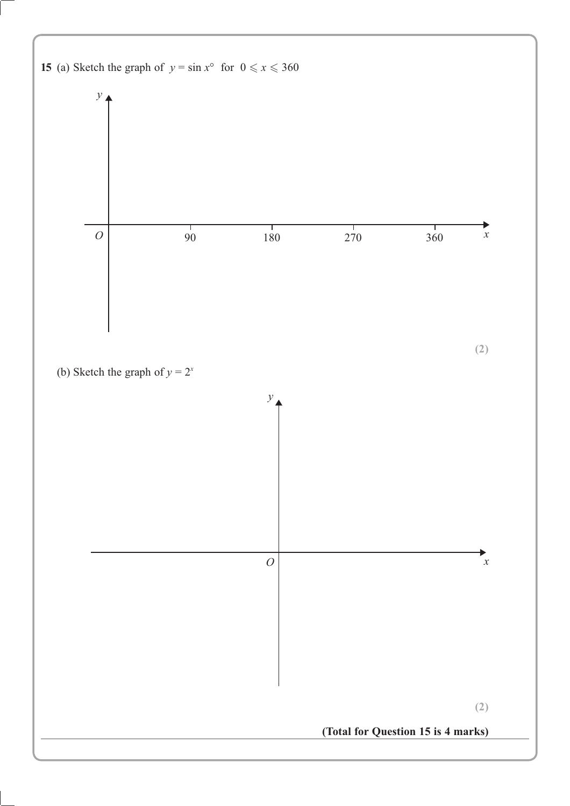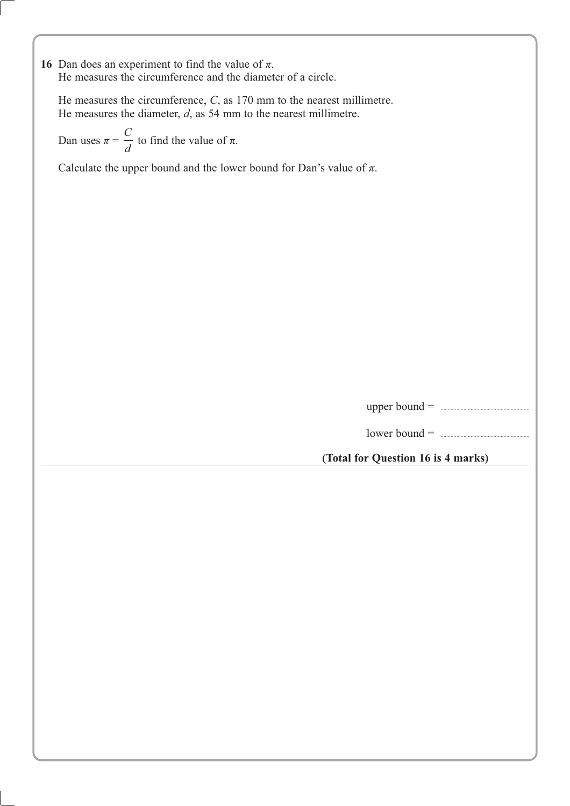16 Dan does an experiment to find the value of  $\pi$ . He measures the circumference and the diameter of a circle.

He measures the circumference, *C*, as 170 mm to the nearest millimetre. He measures the diameter, *d*, as 54 mm to the nearest millimetre.

Dan uses  $\pi$  = *C*  $\frac{a}{d}$  to find the value of  $\pi$ .

Calculate the upper bound and the lower bound for Dan's value of  $\pi$ .

upper bound = . ..............................................................

lower bound = . ..............................................................

**(Total for Question 16 is 4 marks)**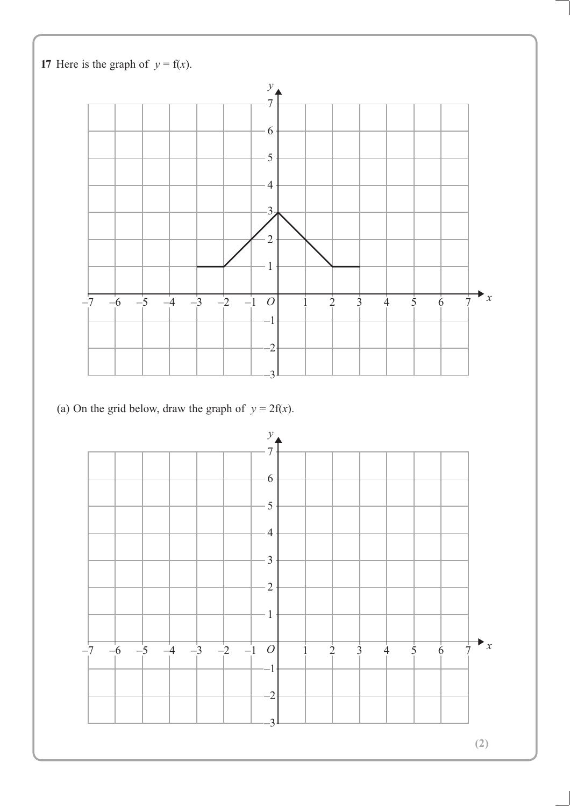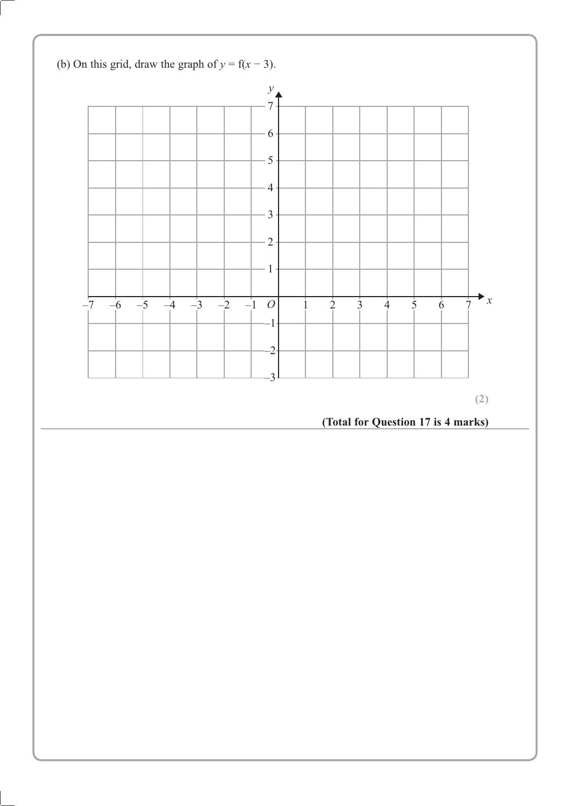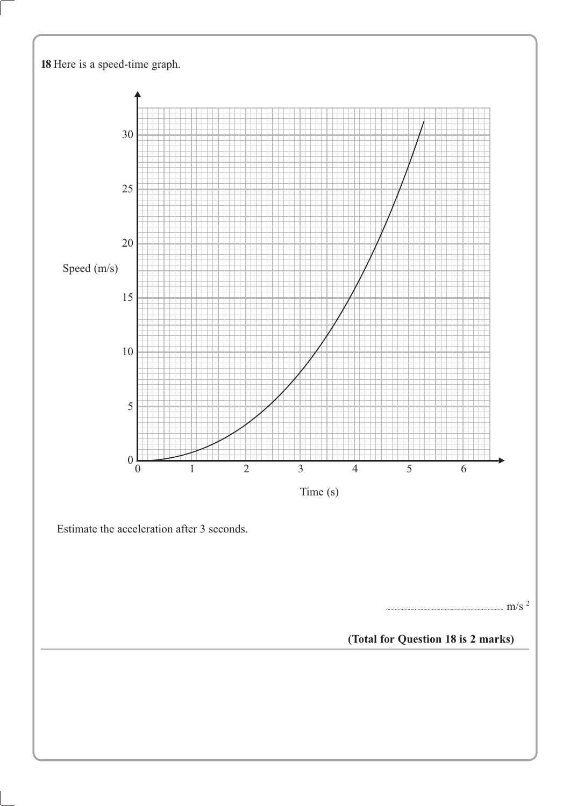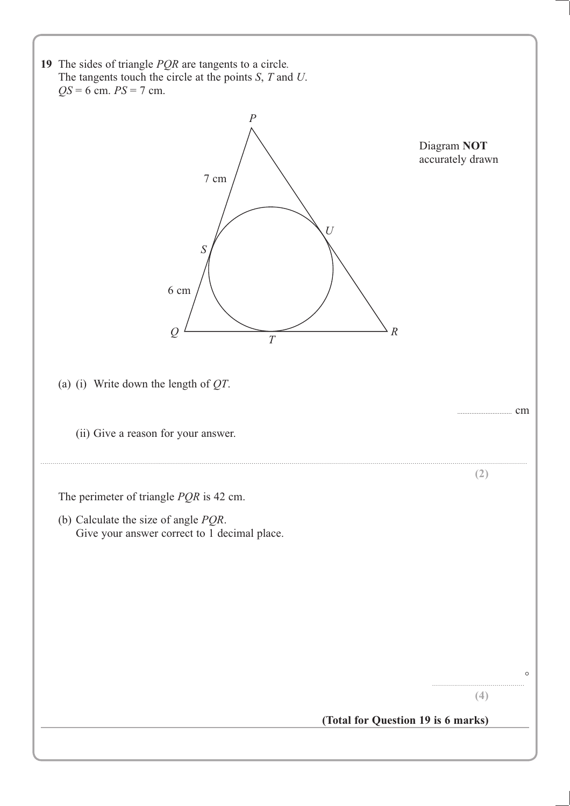